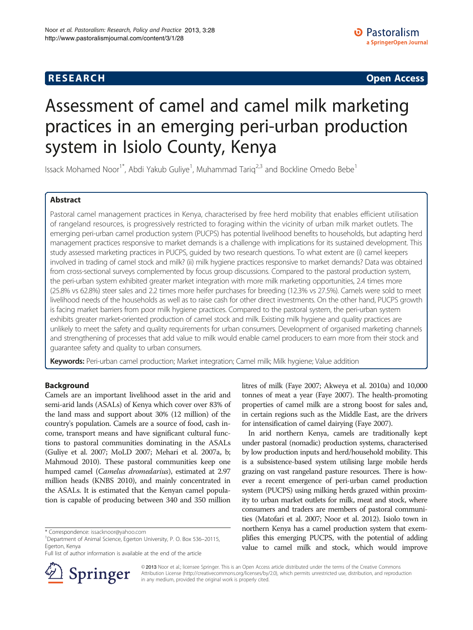# **RESEARCH CHINESE ARCH CHINESE ARCH CHINESE ARCH <b>CHINESE ARCH**

# Assessment of camel and camel milk marketing practices in an emerging peri-urban production system in Isiolo County, Kenya

Issack Mohamed Noor<sup>1\*</sup>, Abdi Yakub Guliye<sup>1</sup>, Muhammad Tariq<sup>2,3</sup> and Bockline Omedo Bebe<sup>1</sup>

# Abstract

Pastoral camel management practices in Kenya, characterised by free herd mobility that enables efficient utilisation of rangeland resources, is progressively restricted to foraging within the vicinity of urban milk market outlets. The emerging peri-urban camel production system (PUCPS) has potential livelihood benefits to households, but adapting herd management practices responsive to market demands is a challenge with implications for its sustained development. This study assessed marketing practices in PUCPS, guided by two research questions. To what extent are (i) camel keepers involved in trading of camel stock and milk? (ii) milk hygiene practices responsive to market demands? Data was obtained from cross-sectional surveys complemented by focus group discussions. Compared to the pastoral production system, the peri-urban system exhibited greater market integration with more milk marketing opportunities, 2.4 times more (25.8% vs 62.8%) steer sales and 2.2 times more heifer purchases for breeding (12.3% vs 27.5%). Camels were sold to meet livelihood needs of the households as well as to raise cash for other direct investments. On the other hand, PUCPS growth is facing market barriers from poor milk hygiene practices. Compared to the pastoral system, the peri-urban system exhibits greater market-oriented production of camel stock and milk. Existing milk hygiene and quality practices are unlikely to meet the safety and quality requirements for urban consumers. Development of organised marketing channels and strengthening of processes that add value to milk would enable camel producers to earn more from their stock and guarantee safety and quality to urban consumers.

Keywords: Peri-urban camel production; Market integration; Camel milk; Milk hygiene; Value addition

# Background

Camels are an important livelihood asset in the arid and semi-arid lands (ASALs) of Kenya which cover over 83% of the land mass and support about 30% (12 million) of the country's population. Camels are a source of food, cash income, transport means and have significant cultural functions to pastoral communities dominating in the ASALs (Guliye et al. [2007](#page-6-0); MoLD [2007;](#page-6-0) Mehari et al. [2007a](#page-6-0), [b](#page-6-0); Mahmoud [2010](#page-6-0)). These pastoral communities keep one humped camel (Camelus dromedarius), estimated at 2.97 million heads (KNBS [2010\)](#page-6-0), and mainly concentrated in the ASALs. It is estimated that the Kenyan camel population is capable of producing between 340 and 350 million

Full list of author information is available at the end of the article



litres of milk (Faye [2007](#page-6-0); Akweya et al. [2010a](#page-6-0)) and 10,000 tonnes of meat a year (Faye [2007\)](#page-6-0). The health-promoting properties of camel milk are a strong boost for sales and, in certain regions such as the Middle East, are the drivers for intensification of camel dairying (Faye [2007](#page-6-0)).

In arid northern Kenya, camels are traditionally kept under pastoral (nomadic) production systems, characterised by low production inputs and herd/household mobility. This is a subsistence-based system utilising large mobile herds grazing on vast rangeland pasture resources. There is however a recent emergence of peri-urban camel production system (PUCPS) using milking herds grazed within proximity to urban market outlets for milk, meat and stock, where consumers and traders are members of pastoral communities (Matofari et al. [2007;](#page-6-0) Noor et al. [2012](#page-7-0)). Isiolo town in northern Kenya has a camel production system that exemplifies this emerging PUCPS, with the potential of adding value to camel milk and stock, which would improve

© 2013 Noor et al.; licensee Springer. This is an Open Access article distributed under the terms of the Creative Commons Attribution License [\(http://creativecommons.org/licenses/by/2.0\)](http://creativecommons.org/licenses/by/2.0), which permits unrestricted use, distribution, and reproduction in any medium, provided the original work is properly cited.

<sup>\*</sup> Correspondence: [issacknoor@yahoo.com](mailto:issacknoor@yahoo.com) <sup>1</sup>

<sup>&</sup>lt;sup>1</sup>Department of Animal Science, Egerton University, P. O. Box 536-20115, Egerton, Kenya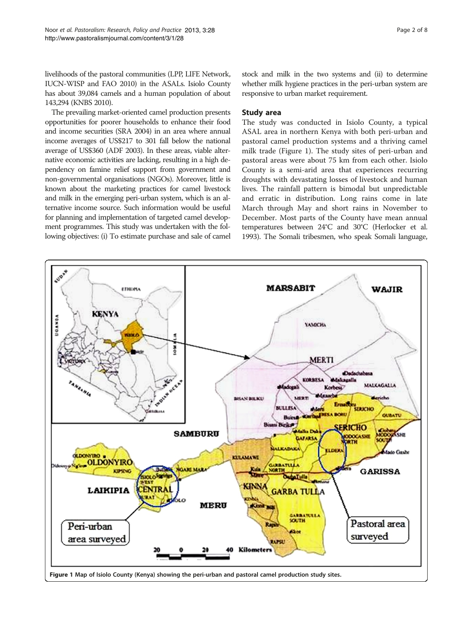livelihoods of the pastoral communities (LPP, LIFE Network, IUCN-WISP and FAO [2010\)](#page-6-0) in the ASALs. Isiolo County has about 39,084 camels and a human population of about 143,294 (KNBS [2010](#page-6-0)).

The prevailing market-oriented camel production presents opportunities for poorer households to enhance their food and income securities (SRA [2004](#page-7-0)) in an area where annual income averages of US\$217 to 301 fall below the national average of US\$360 (ADF [2003\)](#page-6-0). In these areas, viable alternative economic activities are lacking, resulting in a high dependency on famine relief support from government and non-governmental organisations (NGOs). Moreover, little is known about the marketing practices for camel livestock and milk in the emerging peri-urban system, which is an alternative income source. Such information would be useful for planning and implementation of targeted camel development programmes. This study was undertaken with the following objectives: (i) To estimate purchase and sale of camel stock and milk in the two systems and (ii) to determine whether milk hygiene practices in the peri-urban system are responsive to urban market requirement.

# Study area

The study was conducted in Isiolo County, a typical ASAL area in northern Kenya with both peri-urban and pastoral camel production systems and a thriving camel milk trade (Figure 1). The study sites of peri-urban and pastoral areas were about 75 km from each other. Isiolo County is a semi-arid area that experiences recurring droughts with devastating losses of livestock and human lives. The rainfall pattern is bimodal but unpredictable and erratic in distribution. Long rains come in late March through May and short rains in November to December. Most parts of the County have mean annual temperatures between 24°C and 30°C (Herlocker et al. [1993\)](#page-6-0). The Somali tribesmen, who speak Somali language,

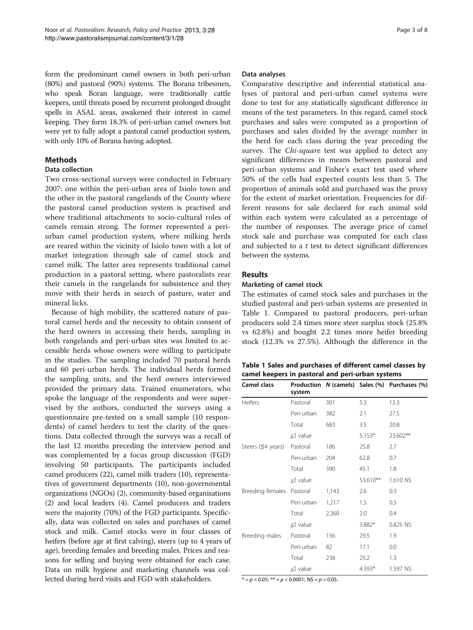form the predominant camel owners in both peri-urban (80%) and pastoral (90%) systems. The Borana tribesmen, who speak Boran language, were traditionally cattle keepers, until threats posed by recurrent prolonged drought spells in ASAL areas, awakened their interest in camel keeping. They form 18.3% of peri-urban camel owners but were yet to fully adopt a pastoral camel production system, with only 10% of Borana having adopted.

# **Methods**

# Data collection

Two cross-sectional surveys were conducted in February 2007: one within the peri-urban area of Isiolo town and the other in the pastoral rangelands of the County where the pastoral camel production system is practised and where traditional attachments to socio-cultural roles of camels remain strong. The former represented a periurban camel production system, where milking herds are reared within the vicinity of Isiolo town with a lot of market integration through sale of camel stock and camel milk. The latter area represents traditional camel production in a pastoral setting, where pastoralists rear their camels in the rangelands for subsistence and they move with their herds in search of pasture, water and mineral licks.

Because of high mobility, the scattered nature of pastoral camel herds and the necessity to obtain consent of the herd owners in accessing their herds, sampling in both rangelands and peri-urban sites was limited to accessible herds whose owners were willing to participate in the studies. The sampling included 70 pastoral herds and 60 peri-urban herds. The individual herds formed the sampling units, and the herd owners interviewed provided the primary data. Trained enumerators, who spoke the language of the respondents and were supervised by the authors, conducted the surveys using a questionnaire pre-tested on a small sample (10 respondents) of camel herders to test the clarity of the questions. Data collected through the surveys was a recall of the last 12 months preceding the interview period and was complemented by a focus group discussion (FGD) involving 50 participants. The participants included camel producers (22), camel milk traders (10), representatives of government departments (10), non-governmental organizations (NGOs) (2), community-based organisations (2) and local leaders (4). Camel producers and traders were the majority (70%) of the FGD participants. Specifically, data was collected on sales and purchases of camel stock and milk. Camel stocks were in four classes of heifers (before age at first calving), steers (up to 4 years of age), breeding females and breeding males. Prices and reasons for selling and buying were obtained for each case. Data on milk hygiene and marketing channels was collected during herd visits and FGD with stakeholders.

#### Data analyses

Comparative descriptive and inferential statistical analyses of pastoral and peri-urban camel systems were done to test for any statistically significant difference in means of the test parameters. In this regard, camel stock purchases and sales were computed as a proportion of purchases and sales divided by the average number in the herd for each class during the year preceding the survey. The *Chi-square* test was applied to detect any significant differences in means between pastoral and peri-urban systems and Fisher's exact test used where 50% of the cells had expected counts less than 5. The proportion of animals sold and purchased was the proxy for the extent of market orientation. Frequencies for different reasons for sale declared for each animal sold within each system were calculated as a percentage of the number of responses. The average price of camel stock sale and purchase was computed for each class and subjected to a  $t$  test to detect significant differences between the systems.

# Results

# Marketing of camel stock

The estimates of camel stock sales and purchases in the studied pastoral and peri-urban systems are presented in Table 1. Compared to pastoral producers, peri-urban producers sold 2.4 times more steer surplus stock (25.8% vs 62.8%) and bought 2.2 times more heifer breeding stock (12.3% vs 27.5%). Although the difference in the

Table 1 Sales and purchases of different camel classes by camel keepers in pastoral and peri-urban systems

| <b>Camel class</b>          | system      |       |          | Production N (camels) Sales (%) Purchases (%) |
|-----------------------------|-------------|-------|----------|-----------------------------------------------|
| <b>Heifers</b>              | Pastoral    | 301   | 5.3      | 12.3                                          |
|                             | Peri-urban  | 382   | 2.1      | 27.5                                          |
|                             | Total       | 683   | 3.5      | 20.8                                          |
|                             | $x^2$ value |       | $5.153*$ | 23.602**                                      |
| Steers $(≤4 \text{ years})$ | Pastoral    | 186   | 25.8     | 2.7                                           |
|                             | Peri-urban  | 204   | 62.8     | 0.7                                           |
|                             | Total       | 390   | 45.1     | 1.8                                           |
|                             | $x^2$ value |       | 53.610** | 1.610 NS                                      |
| Breeding females Pastoral   |             | 1,143 | 2.6      | 0.3                                           |
|                             | Peri-urban  | 1,217 | 1.5      | 0.5                                           |
|                             | Total       | 2,360 | 2.0      | 0.4                                           |
|                             | $x^2$ value |       | 3.882*   | 0.825 NS                                      |
| Breeding males              | Pastoral    | 156   | 29.5     | 1.9                                           |
|                             | Peri-urban  | 82    | 17.1     | 0.0                                           |
|                             | Total       | 238   | 25.2     | 1.3                                           |
|                             | $x^2$ value |       | 4.393*   | 1.597 NS                                      |

 $* = p < 0.05$ ;  $** = p < 0.0001$ ; NS = p > 0.05.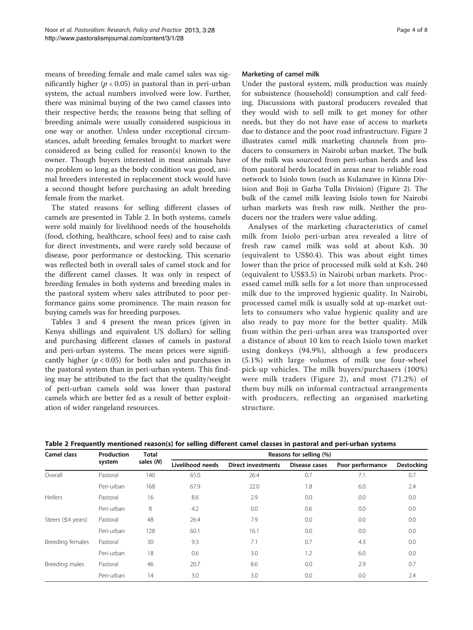means of breeding female and male camel sales was significantly higher ( $p < 0.05$ ) in pastoral than in peri-urban system, the actual numbers involved were low. Further, there was minimal buying of the two camel classes into their respective herds; the reasons being that selling of breeding animals were usually considered suspicious in one way or another. Unless under exceptional circumstances, adult breeding females brought to market were considered as being culled for reason(s) known to the owner. Though buyers interested in meat animals have no problem so long as the body condition was good, animal breeders interested in replacement stock would have a second thought before purchasing an adult breeding female from the market.

The stated reasons for selling different classes of camels are presented in Table 2. In both systems, camels were sold mainly for livelihood needs of the households (food, clothing, healthcare, school fees) and to raise cash for direct investments, and were rarely sold because of disease, poor performance or destocking. This scenario was reflected both in overall sales of camel stock and for the different camel classes. It was only in respect of breeding females in both systems and breeding males in the pastoral system where sales attributed to poor performance gains some prominence. The main reason for buying camels was for breeding purposes.

Tables [3](#page-4-0) and [4](#page-4-0) present the mean prices (given in Kenya shillings and equivalent US dollars) for selling and purchasing different classes of camels in pastoral and peri-urban systems. The mean prices were significantly higher ( $p < 0.05$ ) for both sales and purchases in the pastoral system than in peri-urban system. This finding may be attributed to the fact that the quality/weight of peri-urban camels sold was lower than pastoral camels which are better fed as a result of better exploitation of wider rangeland resources.

#### Marketing of camel milk

Under the pastoral system, milk production was mainly for subsistence (household) consumption and calf feeding. Discussions with pastoral producers revealed that they would wish to sell milk to get money for other needs, but they do not have ease of access to markets due to distance and the poor road infrastructure. Figure [2](#page-5-0) illustrates camel milk marketing channels from producers to consumers in Nairobi urban market. The bulk of the milk was sourced from peri-urban herds and less from pastoral herds located in areas near to reliable road network to Isiolo town (such as Kulamawe in Kinna Division and Boji in Garba Tulla Division) (Figure [2\)](#page-5-0). The bulk of the camel milk leaving Isiolo town for Nairobi urban markets was fresh raw milk. Neither the producers nor the traders were value adding.

Analyses of the marketing characteristics of camel milk from Isiolo peri-urban area revealed a litre of fresh raw camel milk was sold at about Ksh. 30 (equivalent to US\$0.4). This was about eight times lower than the price of processed milk sold at Ksh. 240 (equivalent to US\$3.5) in Nairobi urban markets. Processed camel milk sells for a lot more than unprocessed milk due to the improved hygienic quality. In Nairobi, processed camel milk is usually sold at up-market outlets to consumers who value hygienic quality and are also ready to pay more for the better quality. Milk from within the peri-urban area was transported over a distance of about 10 km to reach Isiolo town market using donkeys (94.9%), although a few producers (5.1%) with large volumes of milk use four-wheel pick-up vehicles. The milk buyers/purchasers (100%) were milk traders (Figure [2\)](#page-5-0), and most (71.2%) of them buy milk on informal contractual arrangements with producers, reflecting an organised marketing structure.

| Camel class         | Production<br>system | <b>Total</b><br>sales (N) | Reasons for selling (%) |                           |               |                  |            |  |
|---------------------|----------------------|---------------------------|-------------------------|---------------------------|---------------|------------------|------------|--|
|                     |                      |                           | Livelihood needs        | <b>Direct investments</b> | Disease cases | Poor performance | Destocking |  |
| Overall             | Pastoral             | 140                       | 65.0                    | 26.4                      | 0.7           | 7.1              | 0.7        |  |
|                     | Peri-urban           | 168                       | 67.9                    | 22.0                      | 1.8           | 6.0              | 2.4        |  |
| Heifers             | Pastoral             | 16                        | 8.6                     | 2.9                       | 0.0           | 0.0              | 0.0        |  |
|                     | Peri-urban           | 8                         | 4.2                     | 0.0                       | 0.6           | 0.0              | 0.0        |  |
| Steers $(≤4 years)$ | Pastoral             | 48                        | 26.4                    | 7.9                       | 0.0           | 0.0              | 0.0        |  |
|                     | Peri-urban           | 128                       | 60.1                    | 16.1                      | 0.0           | 0.0              | 0.0        |  |
| Breeding females    | Pastoral             | 30                        | 9.3                     | 7.1                       | 0.7           | 4.3              | 0.0        |  |
|                     | Peri-urban           | 18                        | 0.6                     | 3.0                       | 1.2           | 6.0              | 0.0        |  |
| Breeding males      | Pastoral             | 46                        | 20.7                    | 8.6                       | 0.0           | 2.9              | 0.7        |  |
|                     | Peri-urban           | 14                        | 3.0                     | 3.0                       | 0.0           | 0.0              | 2.4        |  |

Table 2 Frequently mentioned reason(s) for selling different camel classes in pastoral and peri-urban systems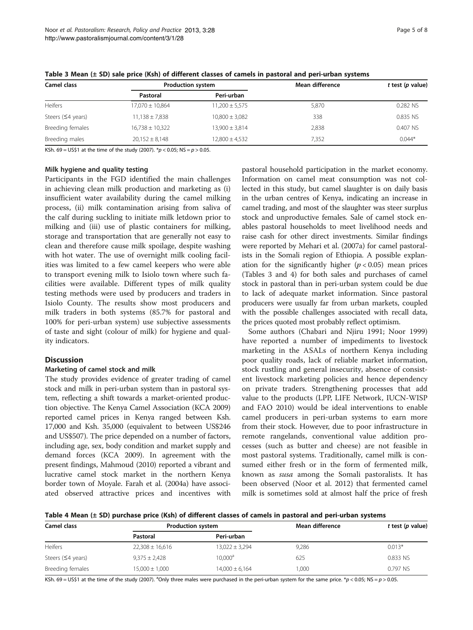| <b>Camel class</b>       | <b>Production system</b> |                    | Mean difference | t test ( $p$ value) |
|--------------------------|--------------------------|--------------------|-----------------|---------------------|
|                          | Pastoral                 | Peri-urban         |                 |                     |
| Heifers                  | 17,070 ± 10,864          | $11,200 \pm 5,575$ | 5,870           | 0.282 NS            |
| Steers ( $\leq$ 4 years) | $11,138 \pm 7,838$       | $10,800 \pm 3,082$ | 338             | 0.835 NS            |
| Breeding females         | $16,738 \pm 10,322$      | $13,900 \pm 3,814$ | 2,838           | 0.407 NS            |
| Breeding males           | $20,152 \pm 8,148$       | $12,800 \pm 4,532$ | 7.352           | $0.044*$            |

<span id="page-4-0"></span>Table 3 Mean (± SD) sale price (Ksh) of different classes of camels in pastoral and peri-urban systems

KSh. 69 = US\$1 at the time of the study (2007).  $* p < 0.05$ ; NS =  $p > 0.05$ .

### Milk hygiene and quality testing

Participants in the FGD identified the main challenges in achieving clean milk production and marketing as (i) insufficient water availability during the camel milking process, (ii) milk contamination arising from saliva of the calf during suckling to initiate milk letdown prior to milking and (iii) use of plastic containers for milking, storage and transportation that are generally not easy to clean and therefore cause milk spoilage, despite washing with hot water. The use of overnight milk cooling facilities was limited to a few camel keepers who were able to transport evening milk to Isiolo town where such facilities were available. Different types of milk quality testing methods were used by producers and traders in Isiolo County. The results show most producers and milk traders in both systems (85.7% for pastoral and 100% for peri-urban system) use subjective assessments of taste and sight (colour of milk) for hygiene and quality indicators.

# Discussion

#### Marketing of camel stock and milk

The study provides evidence of greater trading of camel stock and milk in peri-urban system than in pastoral system, reflecting a shift towards a market-oriented production objective. The Kenya Camel Association (KCA [2009](#page-6-0)) reported camel prices in Kenya ranged between Ksh. 17,000 and Ksh. 35,000 (equivalent to between US\$246 and US\$507). The price depended on a number of factors, including age, sex, body condition and market supply and demand forces (KCA [2009](#page-6-0)). In agreement with the present findings, Mahmoud ([2010\)](#page-6-0) reported a vibrant and lucrative camel stock market in the northern Kenya border town of Moyale. Farah et al. [\(2004a\)](#page-6-0) have associated observed attractive prices and incentives with

pastoral household participation in the market economy. Information on camel meat consumption was not collected in this study, but camel slaughter is on daily basis in the urban centres of Kenya, indicating an increase in camel trading, and most of the slaughter was steer surplus stock and unproductive females. Sale of camel stock enables pastoral households to meet livelihood needs and raise cash for other direct investments. Similar findings were reported by Mehari et al. [\(2007a\)](#page-6-0) for camel pastoralists in the Somali region of Ethiopia. A possible explanation for the significantly higher  $(p < 0.05)$  mean prices (Tables 3 and 4) for both sales and purchases of camel stock in pastoral than in peri-urban system could be due to lack of adequate market information. Since pastoral producers were usually far from urban markets, coupled with the possible challenges associated with recall data, the prices quoted most probably reflect optimism.

Some authors (Chabari and Njiru [1991](#page-6-0); Noor [1999](#page-6-0)) have reported a number of impediments to livestock marketing in the ASALs of northern Kenya including poor quality roads, lack of reliable market information, stock rustling and general insecurity, absence of consistent livestock marketing policies and hence dependency on private traders. Strengthening processes that add value to the products (LPP, LIFE Network, IUCN-WISP and FAO [2010](#page-6-0)) would be ideal interventions to enable camel producers in peri-urban systems to earn more from their stock. However, due to poor infrastructure in remote rangelands, conventional value addition processes (such as butter and cheese) are not feasible in most pastoral systems. Traditionally, camel milk is consumed either fresh or in the form of fermented milk, known as susa among the Somali pastoralists. It has been observed (Noor et al. [2012\)](#page-7-0) that fermented camel milk is sometimes sold at almost half the price of fresh

Table 4 Mean (± SD) purchase price (Ksh) of different classes of camels in pastoral and peri-urban systems

| Camel class              |                     | <b>Production system</b> |       | t test (p value) |
|--------------------------|---------------------|--------------------------|-------|------------------|
|                          | Pastoral            | Peri-urban               |       |                  |
| <b>Heifers</b>           | $22,308 \pm 16,616$ | $13,022 \pm 3,294$       | 9,286 | $0.013*$         |
| Steers ( $\leq$ 4 years) | $9,375 \pm 2,428$   | $10,000^{\rm a}$         | 625   | 0.833 NS         |
| Breeding females         | $15,000 \pm 1,000$  | $14,000 \pm 6,164$       | ,000  | 0.797 NS         |

KSh. 69 = US\$1 at the time of the study (2007). <sup>a</sup>Only three males were purchased in the peri-urban system for the same price.  $*p < 0.05$ ; NS = p > 0.05.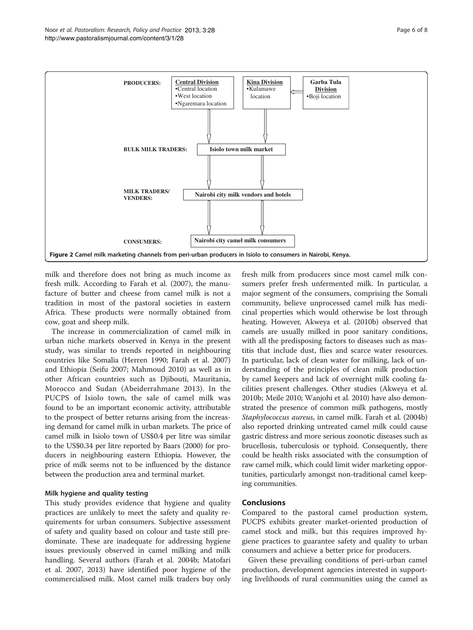<span id="page-5-0"></span>

milk and therefore does not bring as much income as fresh milk. According to Farah et al. ([2007\)](#page-6-0), the manufacture of butter and cheese from camel milk is not a tradition in most of the pastoral societies in eastern Africa. These products were normally obtained from cow, goat and sheep milk.

The increase in commercialization of camel milk in urban niche markets observed in Kenya in the present study, was similar to trends reported in neighbouring countries like Somalia (Herren [1990;](#page-6-0) Farah et al. [2007](#page-6-0)) and Ethiopia (Seifu [2007;](#page-7-0) Mahmoud [2010\)](#page-6-0) as well as in other African countries such as Djibouti, Mauritania, Morocco and Sudan (Abeiderrahmane [2013\)](#page-6-0). In the PUCPS of Isiolo town, the sale of camel milk was found to be an important economic activity, attributable to the prospect of better returns arising from the increasing demand for camel milk in urban markets. The price of camel milk in Isiolo town of US\$0.4 per litre was similar to the US\$0.34 per litre reported by Baars [\(2000](#page-6-0)) for producers in neighbouring eastern Ethiopia. However, the price of milk seems not to be influenced by the distance between the production area and terminal market.

# Milk hygiene and quality testing

This study provides evidence that hygiene and quality practices are unlikely to meet the safety and quality requirements for urban consumers. Subjective assessment of safety and quality based on colour and taste still predominate. These are inadequate for addressing hygiene issues previously observed in camel milking and milk handling. Several authors (Farah et al. [2004b;](#page-6-0) Matofari et al. [2007, 2013\)](#page-6-0) have identified poor hygiene of the commercialised milk. Most camel milk traders buy only

fresh milk from producers since most camel milk consumers prefer fresh unfermented milk. In particular, a major segment of the consumers, comprising the Somali community, believe unprocessed camel milk has medicinal properties which would otherwise be lost through heating. However, Akweya et al. [\(2010b\)](#page-6-0) observed that camels are usually milked in poor sanitary conditions, with all the predisposing factors to diseases such as mastitis that include dust, flies and scarce water resources. In particular, lack of clean water for milking, lack of understanding of the principles of clean milk production by camel keepers and lack of overnight milk cooling facilities present challenges. Other studies (Akweya et al. [2010b](#page-6-0); Meile [2010](#page-6-0); Wanjohi et al. [2010](#page-7-0)) have also demonstrated the presence of common milk pathogens, mostly Staphylococcus aureus, in camel milk. Farah et al. [\(2004b](#page-6-0)) also reported drinking untreated camel milk could cause gastric distress and more serious zoonotic diseases such as brucellosis, tuberculosis or typhoid. Consequently, there could be health risks associated with the consumption of raw camel milk, which could limit wider marketing opportunities, particularly amongst non-traditional camel keeping communities.

# Conclusions

Compared to the pastoral camel production system, PUCPS exhibits greater market-oriented production of camel stock and milk, but this requires improved hygiene practices to guarantee safety and quality to urban consumers and achieve a better price for producers.

Given these prevailing conditions of peri-urban camel production, development agencies interested in supporting livelihoods of rural communities using the camel as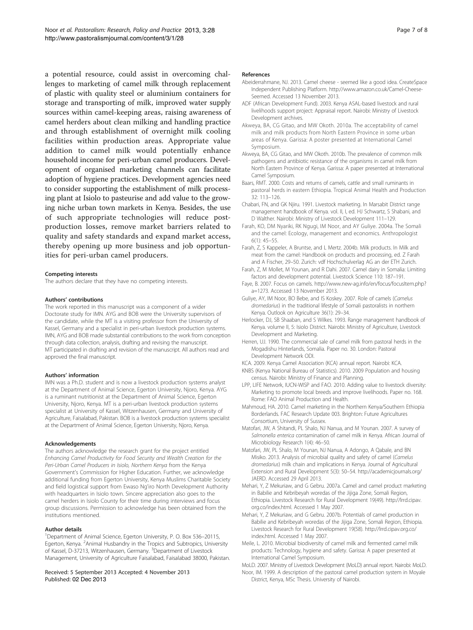<span id="page-6-0"></span>a potential resource, could assist in overcoming challenges to marketing of camel milk through replacement of plastic with quality steel or aluminium containers for storage and transporting of milk, improved water supply sources within camel-keeping areas, raising awareness of camel herders about clean milking and handling practice and through establishment of overnight milk cooling facilities within production areas. Appropriate value addition to camel milk would potentially enhance household income for peri-urban camel producers. Development of organised marketing channels can facilitate adoption of hygiene practices. Development agencies need to consider supporting the establishment of milk processing plant at Isiolo to pasteurise and add value to the growing niche urban town markets in Kenya. Besides, the use of such appropriate technologies will reduce postproduction losses, remove market barriers related to quality and safety standards and expand market access, thereby opening up more business and job opportunities for peri-urban camel producers.

#### Competing interests

The authors declare that they have no competing interests.

#### Authors' contributions

The work reported in this manuscript was a component of a wider Doctorate study for IMN. AYG and BOB were the University supervisors of the candidate, while the MT is a visiting professor from the University of Kassel, Germany and a specialist in peri-urban livestock production systems. IMN, AYG and BOB made substantial contributions to the work from conception through data collection, analysis, drafting and revising the manuscript. MT participated in drafting and revision of the manuscript. All authors read and approved the final manuscript.

#### Authors' information

IMN was a Ph.D. student and is now a livestock production systems analyst at the Department of Animal Science, Egerton University, Njoro, Kenya. AYG is a ruminant nutritionist at the Department of Animal Science, Egerton University, Njoro, Kenya. MT is a peri-urban livestock production systems specialist at University of Kassel, Witzenhausen, Germany and University of Agriculture, Faisalabad, Pakistan. BOB is a livestock production systems specialist at the Department of Animal Science, Egerton University, Njoro, Kenya.

#### Acknowledgements

The authors acknowledge the research grant for the project entitled Enhancing Camel Productivity for Food Security and Wealth Creation for the Peri-Urban Camel Producers in Isiolo, Northern Kenya from the Kenya Government's Commission for Higher Education. Further, we acknowledge additional funding from Egerton University, Kenya Muslims Charitable Society and field logistical support from Ewaso Ng'iro North Development Authority with headquarters in Isiolo town. Sincere appreciation also goes to the camel herders in Isiolo County for their time during interviews and focus group discussions. Permission to acknowledge has been obtained from the institutions mentioned.

#### Author details

<sup>1</sup>Department of Animal Science, Egerton University, P. O. Box 536-20115, Egerton, Kenya. <sup>2</sup>Animal Husbandry in the Tropics and Subtropics, University of Kassel, D-37213, Witzenhausen, Germany. <sup>3</sup>Department of Livestock Management, University of Agriculture Faisalabad, Faisalabad 38000, Pakistan.

Received: 5 September 2013 Accepted: 4 November 2013 Published: 02 Dec 2013

#### References

- Abeiderrahmane, NJ. 2013. Camel cheese seemed like a good idea. CreateSpace Independent Publishing Platform. [http://www.amazon.co.uk/Camel-Cheese-](http://www.amazon.co.uk/Camel-Cheese-Seemed)[Seemed.](http://www.amazon.co.uk/Camel-Cheese-Seemed) Accessed 13 November 2013.
- ADF (African Development Fund). 2003. Kenya ASAL-based livestock and rural livelihoods support project: Appraisal report. Nairobi: Ministry of Livestock Development archives.
- Akweya, BA, CG Gitao, and MW Okoth. 2010a. The acceptability of camel milk and milk products from North Eastern Province in some urban areas of Kenya. Garissa: A poster presented at International Camel Symposium.
- Akweya, BA, CG Gitao, and MW Okoth. 2010b. The prevalence of common milk pathogens and antibiotic resistance of the organisms in camel milk from North Eastern Province of Kenya. Garissa: A paper presented at International Camel Symposium.
- Baars, RMT. 2000. Costs and returns of camels, cattle and small ruminants in pastoral herds in eastern Ethiopia. Tropical Animal Health and Production 32: 113–126.
- Chabari, FN, and GK Njiru. 1991. Livestock marketing. In Marsabit District range management handbook of Kenya. vol. II, I, ed. HJ Schwartz, S Shabani, and D Walther. Nairobi: Ministry of Livestock Development 111–129.
- Farah, KO, DM Nyariki, RK Ngugi, IM Noor, and AY Guliye. 2004a. The Somali and the camel: Ecology, management and economics. Anthropologist 6(1): 45–55.
- Farah, Z, S Kappeler, A Bruntse, and L Mertz. 2004b. Milk products. In Milk and meat from the camel: Handbook on products and processing, ed. Z Farah and A Fischer, 29–50. Zurich: vdf Hochschulverlag AG an der ETH Zurich.
- Farah, Z, M Mollet, M Younan, and R Dahi. 2007. Camel dairy in Somalia: Limiting factors and development potential. Livestock Science 110: 187–191.
- Faye, B. 2007. Focus on camels. [http://www.new-ag.info/en/focus/focusItem.php?](http://www.new-ag.info/en/focus/focusItem.php?a=1273) [a=1273.](http://www.new-ag.info/en/focus/focusItem.php?a=1273) Accessed 13 November 2013.
- Guliye, AY, IM Noor, BO Bebe, and IS Koskey. 2007. Role of camels (Camelus dromedarius) in the traditional lifestyle of Somali pastoralists in northern Kenya. Outlook on Agriculture 36(1): 29–34.
- Herlocker, DJ, SB Shaaban, and S Wilkes. 1993. Range management handbook of Kenya. volume II, 5: Isiolo District. Nairobi: Ministry of Agriculture, Livestock Development and Marketing.
- Herren, UJ. 1990. The commercial sale of camel milk from pastoral herds in the Mogadishu Hinterlands, Somalia. Paper no. 30. London: Pastoral Development Network ODI.
- KCA. 2009. Kenya Camel Association (KCA) annual report. Nairobi: KCA.
- KNBS (Kenya National Bureau of Statistics). 2010. 2009 Population and housing census. Nairobi: Ministry of Finance and Planning.
- LPP, LIFE Network, IUCN-WISP and FAO. 2010. Adding value to livestock diversity: Marketing to promote local breeds and improve livelihoods. Paper no. 168. Rome: FAO Animal Production and Health.
- Mahmoud, HA. 2010. Camel marketing in the Northern Kenya/Southern Ethiopia Borderlands. FAC Research Update 003. Brighton: Future Agricultures Consortium, University of Sussex.
- Matofari, JW, A Shitandi, PL Shalo, NJ Nanua, and M Younan. 2007. A survey of Salmonella enterica contamination of camel milk in Kenya. African Journal of Microbiology Research 1(4): 46–50.
- Matofari, JW, PL Shalo, M Younan, NJ Nanua, A Adongo, A Qabale, and BN Misiko. 2013. Analysis of microbial quality and safety of camel (Camelus dromedarius) milk chain and implications in Kenya. Journal of Agricultural Extension and Rural Development 5(3): 50–54. [http://academicjournals.org/](http://academicjournals.org/JAERD) [JAERD.](http://academicjournals.org/JAERD) Accessed 29 April 2013.
- Mehari, Y, Z Mekuriaw, and G Gebru. 2007a. Camel and camel product marketing in Babilie and Kebribeyah woredas of the Jijiga Zone, Somali Region, Ethiopia. Livestock Research for Rural Development 19(49). [http://lrrd.cipav.](http://lrrd.cipav.org.co/index.html) [org.co/index.html.](http://lrrd.cipav.org.co/index.html) Accessed 1 May 2007.
- Mehari, Y, Z Mekuriaw, and G Gebru. 2007b. Potentials of camel production in Babilie and Kebribeyah woredas of the Jijiga Zone, Somali Region, Ethiopia. Livestock Research for Rural Development 19(58). [http://lrrd.cipav.org.co/](http://lrrd.cipav.org.co/index.html) [index.html.](http://lrrd.cipav.org.co/index.html) Accessed 1 May 2007.
- Meile, L. 2010. Microbial biodiversity of camel milk and fermented camel milk products: Technology, hygiene and safety. Garissa: A paper presented at International Camel Symposium.

MoLD. 2007. Ministry of Livestock Development (MoLD) annual report. Nairobi: MoLD. Noor, IM. 1999. A description of the pastoral camel production system in Moyale District, Kenya, MSc Thesis. University of Nairobi.